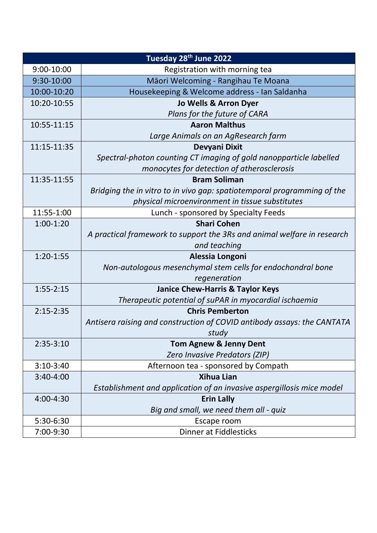| Tuesday 28 <sup>th</sup> June 2022 |                                                                         |
|------------------------------------|-------------------------------------------------------------------------|
| 9:00-10:00                         | Registration with morning tea                                           |
| 9:30-10:00                         | Māori Welcoming - Rangihau Te Moana                                     |
| 10:00-10:20                        | Housekeeping & Welcome address - Ian Saldanha                           |
| 10:20-10:55                        | Jo Wells & Arron Dyer                                                   |
|                                    | Plans for the future of CARA                                            |
| 10:55-11:15                        | <b>Aaron Malthus</b>                                                    |
|                                    | Large Animals on an AgResearch farm                                     |
| 11:15-11:35                        | Devyani Dixit                                                           |
|                                    | Spectral-photon counting CT imaging of gold nanopparticle labelled      |
|                                    | monocytes for detection of atherosclerosis                              |
| 11:35-11:55                        | <b>Bram Soliman</b>                                                     |
|                                    | Bridging the in vitro to in vivo gap: spatiotemporal programming of the |
|                                    | physical microenvironment in tissue substitutes                         |
| 11:55-1:00                         | Lunch - sponsored by Specialty Feeds                                    |
| $1:00-1:20$                        | <b>Shari Cohen</b>                                                      |
|                                    | A practical framework to support the 3Rs and animal welfare in research |
|                                    | and teaching                                                            |
| $1:20-1:55$                        | Alessia Longoni                                                         |
|                                    | Non-autologous mesenchymal stem cells for endochondral bone             |
|                                    | regeneration                                                            |
| $1:55 - 2:15$                      | <b>Janice Chew-Harris &amp; Taylor Keys</b>                             |
|                                    | Therapeutic potential of suPAR in myocardial ischaemia                  |
| $2:15 - 2:35$                      | <b>Chris Pemberton</b>                                                  |
|                                    | Antisera raising and construction of COVID antibody assays: the CANTATA |
|                                    | study                                                                   |
| $2:35-3:10$                        | <b>Tom Agnew &amp; Jenny Dent</b>                                       |
|                                    | Zero Invasive Predators (ZIP)                                           |
| $3:10-3:40$                        | Afternoon tea - sponsored by Compath                                    |
| 3:40-4:00                          | <b>Xihua Lian</b>                                                       |
|                                    | Establishment and application of an invasive aspergillosis mice model   |
| 4:00-4:30                          | <b>Erin Lally</b>                                                       |
|                                    | Big and small, we need them all - quiz                                  |
| 5:30-6:30                          | Escape room                                                             |
| 7:00-9:30                          | Dinner at Fiddlesticks                                                  |